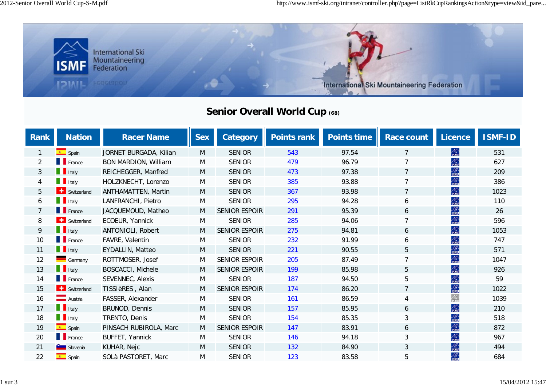

## **Senior Overall World Cup (68)**

| <b>Rank</b>    | <b>Nation</b>                  | <b>Racer Name</b>           | <b>Sex</b> | <b>Category</b>      | <b>Points rank</b> | <b>Points time</b> | Race count     | <b>Licence</b> | <b>ISMF-ID</b> |
|----------------|--------------------------------|-----------------------------|------------|----------------------|--------------------|--------------------|----------------|----------------|----------------|
| 1              | $\overline{\phantom{a}}$ Spain | JORNET BURGADA, Kilian      | M          | <b>SENIOR</b>        | 543                | 97.54              | $\overline{7}$ | 念              | 531            |
| $\overline{2}$ | $\blacksquare$ France          | <b>BON MARDION, William</b> | M          | <b>SENIOR</b>        | 479                | 96.79              | 7              | 念              | 627            |
| $\mathfrak{Z}$ | $\blacksquare$ Italy           | REICHEGGER, Manfred         | M          | <b>SENIOR</b>        | 473                | 97.38              | $\overline{7}$ | 念              | 209            |
| $\overline{4}$ | $\blacksquare$ Italy           | HOLZKNECHT, Lorenzo         | M          | <b>SENIOR</b>        | 385                | 93.88              | $\overline{7}$ | 念              | 386            |
| 5              | Switzerland                    | <b>ANTHAMATTEN, Martin</b>  | M          | <b>SENIOR</b>        | 367                | 93.98              | $\overline{7}$ | 念              | 1023           |
| 6              | $\blacksquare$ Italy           | LANFRANCHI, Pietro          | M          | <b>SENIOR</b>        | 295                | 94.28              | 6              | 念              | 110            |
| $\overline{7}$ | <b>T</b> France                | JACQUEMOUD, Matheo          | M          | <b>SENIOR ESPOIR</b> | 291                | 95.39              | 6              | 念              | 26             |
| 8              | Switzerland                    | ECOEUR, Yannick             | M          | <b>SENIOR</b>        | 285                | 94.06              |                | 念              | 596            |
| 9              | <b>T</b> Italy                 | ANTONIOLI, Robert           | M          | SENIOR ESPOIR        | 275                | 94.81              | 6              | AS.            | 1053           |
| 10             | $\blacksquare$ France          | FAVRE, Valentin             | M          | <b>SENIOR</b>        | 232                | 91.99              | 6              | 念              | 747            |
| 11             | <b>T</b> Italy                 | <b>EYDALLIN, Matteo</b>     | M          | <b>SENIOR</b>        | 221                | 90.55              | 5              | 鱻              | 571            |
| 12             | Germany                        | ROTTMOSER, Josef            | M          | <b>SENIOR ESPOIR</b> | 205                | 87.49              | $\overline{7}$ | 念              | 1047           |
| 13             | $\blacksquare$ Italy           | <b>BOSCACCI, Michele</b>    | M          | <b>SENIOR ESPOIR</b> | 199                | 85.98              | 5              | 念              | 926            |
| 14             | <b>France</b>                  | SEVENNEC, Alexis            | M          | <b>SENIOR</b>        | 187                | 94.50              | 5              | 合。<br>isiw     | 59             |
| 15             | Switzerland                    | TISSIèRES, Alan             | M          | <b>SENIOR ESPOIR</b> | 174                | 86.20              | $\overline{7}$ | 念              | 1022           |
| 16             | Austria                        | FASSER, Alexander           | M          | <b>SENIOR</b>        | 161                | 86.59              | 4              | 念              | 1039           |
| 17             | $\blacksquare$ Italy           | <b>BRUNOD, Dennis</b>       | M          | <b>SENIOR</b>        | 157                | 85.95              | 6              | AS.            | 210            |
| 18             | $\blacksquare$ Italy           | TRENTO, Denis               | M          | <b>SENIOR</b>        | 154                | 85.35              | 3              | AS).<br>ISMP   | 518            |
| 19             | $S$ pain                       | PINSACH RUBIROLA, Marc      | M          | <b>SENIOR ESPOIR</b> | 147                | 83.91              | 6              | 念              | 872            |
| 20             | $\blacksquare$ France          | BUFFET, Yannick             | M          | <b>SENIOR</b>        | 146                | 94.18              | 3              | 念              | 967            |
| 21             | Slovenia                       | KUHAR, Nejc                 | M          | <b>SENIOR</b>        | 132                | 84.90              | $\mathfrak{Z}$ | 念              | 494            |
| 22             | $\left  \bullet \right $ Spain | SOLà PASTORET, Marc         | M          | <b>SENIOR</b>        | 123                | 83.58              | 5              | 念              | 684            |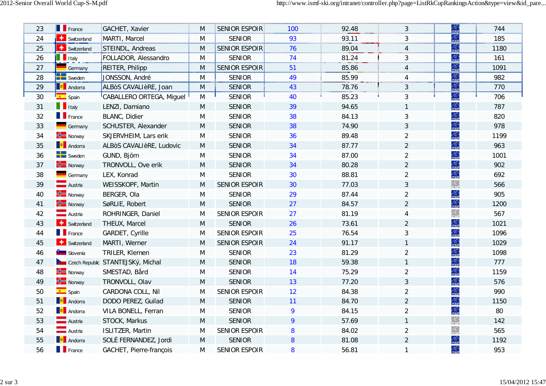| 23 | <b>France</b>                           | GACHET, Xavier                    | M | <b>SENIOR ESPOIR</b> | 100       | 92.48 | 3              | AS)<br>ISME          | 744  |
|----|-----------------------------------------|-----------------------------------|---|----------------------|-----------|-------|----------------|----------------------|------|
| 24 | Switzerland                             | MARTI, Marcel                     | M | <b>SENIOR</b>        | 93        | 93.11 | 3              | 念                    | 185  |
| 25 | <b>Switzerland</b>                      | STEINDL, Andreas                  | M | <b>SENIOR ESPOIR</b> | 76        | 89.04 | $\overline{4}$ | 鱻                    | 1180 |
| 26 | <b>T</b> Italy                          | FOLLADOR, Alessandro              | M | <b>SENIOR</b>        | 74        | 81.24 | 3              | AS).<br>ISMP         | 161  |
| 27 | Germany                                 | REITER, Philipp                   | M | <b>SENIOR ESPOIR</b> | 51        | 85.86 | $\overline{4}$ | 鱻                    | 1091 |
| 28 | <b>DE</b> Sweden                        | JONSSON, André                    | M | <b>SENIOR</b>        | 49        | 85.99 | 4              | 念                    | 982  |
| 29 | <b>Andorra</b>                          | ALBOS CAVALIèRE, Joan             | M | <b>SENIOR</b>        | 43        | 78.76 | 3              | $\frac{\lambda}{15}$ | 770  |
| 30 | Spain                                   | CABALLERO ORTEGA, Miguel          | M | <b>SENIOR</b>        | 40        | 85.23 | 3              | 念                    | 706  |
| 31 | $\blacksquare$ Italy                    | LENZI, Damiano                    | M | <b>SENIOR</b>        | 39        | 94.65 |                | 鱻                    | 787  |
| 32 | $\blacksquare$ France                   | <b>BLANC, Didier</b>              | M | <b>SENIOR</b>        | 38        | 84.13 | 3              | AS).<br>ISMP         | 820  |
| 33 | Germany                                 | SCHUSTER, Alexander               | M | <b>SENIOR</b>        | 38        | 74.90 | 3              | 螽                    | 978  |
| 34 | $\frac{1}{\sqrt{1-\frac{1}{n}}}$ Norway | SKJERVHEIM, Lars erik             | M | <b>SENIOR</b>        | 36        | 89.48 | $\overline{2}$ | 螽                    | 1199 |
| 35 | <b>Andorra</b>                          | ALBÒS CAVALIèRE, Ludovic          | M | <b>SENIOR</b>        | 34        | 87.77 | $\overline{a}$ | 念                    | 963  |
| 36 | $\blacksquare$ Sweden                   | GUND, Björn                       | M | <b>SENIOR</b>        | 34        | 87.00 | $\overline{a}$ | 念                    | 1001 |
| 37 | $\frac{1}{\sqrt{1-\theta}}$ Norway      | TRONVOLL, Ove erik                | M | <b>SENIOR</b>        | 34        | 80.28 | $\overline{2}$ | 鱻                    | 902  |
| 38 | Germany                                 | LEX, Konrad                       | M | <b>SENIOR</b>        | 30        | 88.81 | $\overline{a}$ | 合<br>isiw            | 692  |
| 39 | <b>Austria</b>                          | WEISSKOPF, Martin                 | M | <b>SENIOR ESPOIR</b> | 30        | 77.03 | 3              | 鱻                    | 566  |
| 40 | $\frac{1}{\sqrt{1-\frac{1}{2}}}$ Norway | BERGER, Ola                       | M | <b>SENIOR</b>        | 29        | 87.44 | $\overline{2}$ | 念                    | 905  |
| 41 | $\frac{1}{\sqrt{1-\frac{1}{2}}}$ Norway | SøRLIE, Robert                    | M | <b>SENIOR</b>        | 27        | 84.57 | $\overline{2}$ | AS)<br>ISME          | 1200 |
| 42 | <b>Austria</b>                          | ROHRINGER, Daniel                 | M | <b>SENIOR ESPOIR</b> | 27        | 81.19 | $\overline{4}$ | 螽                    | 567  |
| 43 | Switzerland                             | THEUX, Marcel                     | M | <b>SENIOR</b>        | 26        | 73.61 | $\overline{2}$ | 鱻                    | 1021 |
| 44 | $\blacksquare$ France                   | GARDET, Cyrille                   | M | <b>SENIOR ESPOIR</b> | 25        | 76.54 | $\sqrt{3}$     | 螽                    | 1096 |
| 45 | Switzerland                             | MARTI, Werner                     | M | <b>SENIOR ESPOIR</b> | 24        | 91.17 |                | 鱻                    | 1029 |
| 46 | Slovenia                                | TRILER, Klemen                    | M | <b>SENIOR</b>        | 23        | 81.29 | $\overline{2}$ | 螽                    | 1098 |
| 47 |                                         | Czech Republic STANTEJSKý, Michal | M | <b>SENIOR</b>        | 18        | 59.38 | $\mathbf{1}$   | ASN<br>1979          | 777  |
| 48 | $\frac{1}{\sqrt{1-\theta}}$ Norway      | SMESTAD, Bård                     | M | <b>SENIOR</b>        | 14        | 75.29 | $\overline{2}$ | 合<br>isiw            | 1159 |
| 49 | $\frac{1}{\sqrt{1-\theta}}$ Norway      | TRONVOLL, Olav                    | M | <b>SENIOR</b>        | 13        | 77.20 | 3              | 螽                    | 576  |
| 50 | $\leftarrow$ Spain                      | CARDONA COLL, Nil                 | M | <b>SENIOR ESPOIR</b> | 12        | 84.38 | $\overline{2}$ | 念                    | 990  |
| 51 | <b>Andorra</b>                          | DODO PEREZ, Guilad                | M | <b>SENIOR</b>        | 11        | 84.70 | $\overline{2}$ | 鱻                    | 1150 |
| 52 | <b>Andorra</b>                          | VILA BONELL, Ferran               | M | <b>SENIOR</b>        | 9         | 84.15 | $\overline{a}$ | 合<br>isiw            | 80   |
| 53 | <b>Austria</b><br><b>Austria</b>        | STOCK, Markus                     | M | <b>SENIOR</b>        | 9         | 57.69 | 1              | 絲                    | 142  |
| 54 | <b>Austria</b>                          | <b>ISLITZER, Martin</b>           | M | <b>SENIOR ESPOIR</b> | 8         | 84.02 | $\overline{a}$ | 螽                    | 565  |
| 55 | <b>Andorra</b>                          | SOLÉ FERNANDEZ, Jordi             | M | <b>SENIOR</b>        | ${\bf 8}$ | 81.08 | $\overline{2}$ | 鱻                    | 1192 |
| 56 | $\blacksquare$ France                   | GACHET, Pierre-françois           | M | <b>SENIOR ESPOIR</b> | 8         | 56.81 | 1              | 螽                    | 953  |